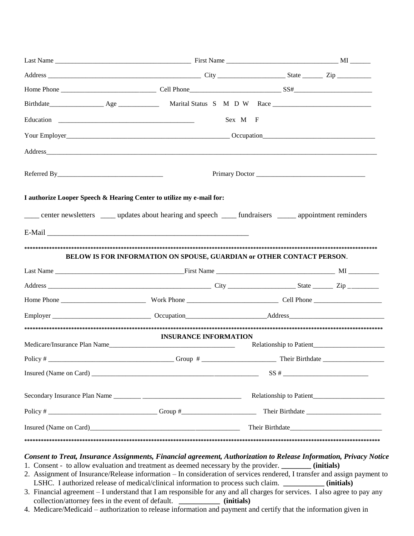|                                                                                                           |                                                                       | Sex M F |  |
|-----------------------------------------------------------------------------------------------------------|-----------------------------------------------------------------------|---------|--|
|                                                                                                           |                                                                       |         |  |
|                                                                                                           |                                                                       |         |  |
|                                                                                                           |                                                                       |         |  |
| I authorize Looper Speech & Hearing Center to utilize my e-mail for:                                      |                                                                       |         |  |
| center newsletters _____ updates about hearing and speech ______ fundraisers ______ appointment reminders |                                                                       |         |  |
|                                                                                                           |                                                                       |         |  |
|                                                                                                           |                                                                       |         |  |
|                                                                                                           | BELOW IS FOR INFORMATION ON SPOUSE, GUARDIAN or OTHER CONTACT PERSON. |         |  |
|                                                                                                           |                                                                       |         |  |
|                                                                                                           |                                                                       |         |  |
|                                                                                                           |                                                                       |         |  |
|                                                                                                           |                                                                       |         |  |
|                                                                                                           |                                                                       |         |  |
|                                                                                                           | <b>INSURANCE INFORMATION</b>                                          |         |  |
|                                                                                                           |                                                                       |         |  |
|                                                                                                           |                                                                       |         |  |
|                                                                                                           |                                                                       |         |  |
|                                                                                                           |                                                                       |         |  |
|                                                                                                           | Their Birthdate                                                       |         |  |
|                                                                                                           |                                                                       |         |  |

## *Consent to Treat, Insurance Assignments, Financial agreement, Authorization to Release Information, Privacy Notice*

- 1. Consent to allow evaluation and treatment as deemed necessary by the provider. **\_\_\_\_\_\_\_\_ (initials)**
- 2. Assignment of Insurance/Release information In consideration of services rendered, I transfer and assign payment to LSHC. I authorized release of medical/clinical information to process such claim. **\_\_\_\_\_\_\_\_\_\_\_ (initials)**
- 3. Financial agreement I understand that I am responsible for any and all charges for services. I also agree to pay any collection/attorney fees in the event of default. **\_\_\_\_\_\_\_\_\_\_\_ (initials)**
- 4. Medicare/Medicaid authorization to release information and payment and certify that the information given in